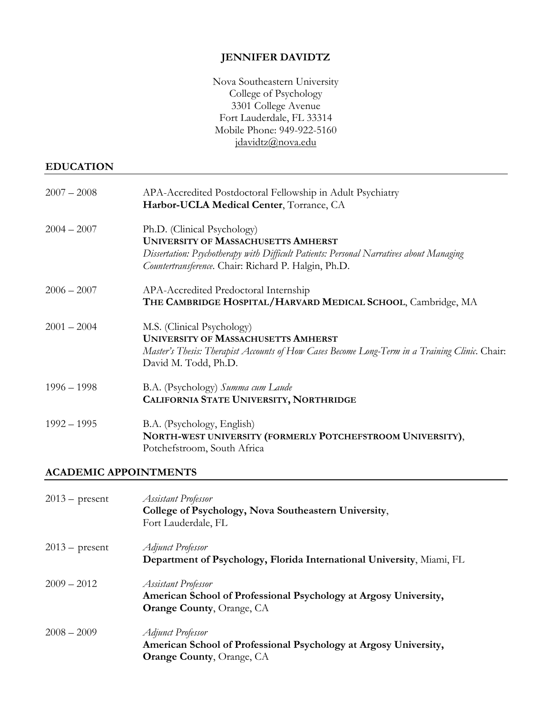# **JENNIFER DAVIDTZ**

Nova Southeastern University College of Psychology 3301 College Avenue Fort Lauderdale, FL 33314 Mobile Phone: 949-922-5160 jdavidtz@nova.edu

# **EDUCATION**

| $2007 - 2008$ | APA-Accredited Postdoctoral Fellowship in Adult Psychiatry<br>Harbor-UCLA Medical Center, Torrance, CA                                                                                                                       |
|---------------|------------------------------------------------------------------------------------------------------------------------------------------------------------------------------------------------------------------------------|
| $2004 - 2007$ | Ph.D. (Clinical Psychology)<br><b>UNIVERSITY OF MASSACHUSETTS AMHERST</b><br>Dissertation: Psychotherapy with Difficult Patients: Personal Narratives about Managing<br>Countertransference. Chair: Richard P. Halgin, Ph.D. |
| $2006 - 2007$ | APA-Accredited Predoctoral Internship<br>THE CAMBRIDGE HOSPITAL/HARVARD MEDICAL SCHOOL, Cambridge, MA                                                                                                                        |
| $2001 - 2004$ | M.S. (Clinical Psychology)<br><b>UNIVERSITY OF MASSACHUSETTS AMHERST</b><br>Master's Thesis: Therapist Accounts of How Cases Become Long-Term in a Training Clinic. Chair:<br>David M. Todd, Ph.D.                           |
| $1996 - 1998$ | B.A. (Psychology) Summa cum Laude<br>CALIFORNIA STATE UNIVERSITY, NORTHRIDGE                                                                                                                                                 |
| $1992 - 1995$ | B.A. (Psychology, English)<br>NORTH-WEST UNIVERSITY (FORMERLY POTCHEFSTROOM UNIVERSITY),<br>Potchefstroom, South Africa                                                                                                      |

## **ACADEMIC APPOINTMENTS**

| $2013$ – present | <b>Assistant Professor</b><br>College of Psychology, Nova Southeastern University,<br>Fort Lauderdale, FL                          |
|------------------|------------------------------------------------------------------------------------------------------------------------------------|
| $2013$ – present | <b>Adjunct Professor</b>                                                                                                           |
|                  | Department of Psychology, Florida International University, Miami, FL                                                              |
| $2009 - 2012$    | <b>Assistant Professor</b><br>American School of Professional Psychology at Argosy University,<br><b>Orange County, Orange, CA</b> |
| $2008 - 2009$    | <b>Adjunct Professor</b><br>American School of Professional Psychology at Argosy University,<br><b>Orange County, Orange, CA</b>   |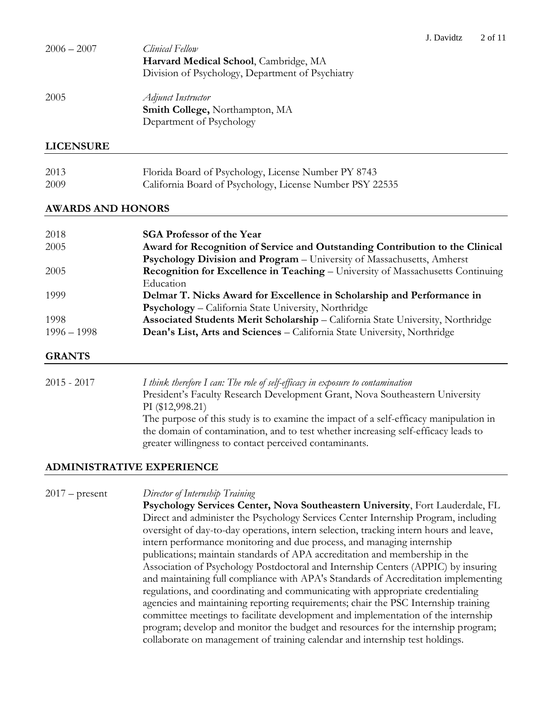| $2006 - 2007$ | Clinical Fellow                                  |
|---------------|--------------------------------------------------|
|               | Harvard Medical School, Cambridge, MA            |
|               | Division of Psychology, Department of Psychiatry |
| 2005          | Adjunct Instructor                               |
|               | Smith College, Northampton, MA                   |
|               | Department of Psychology                         |
|               |                                                  |

## **LICENSURE**

| 2013 | Florida Board of Psychology, License Number PY 8743      |
|------|----------------------------------------------------------|
| 2009 | California Board of Psychology, License Number PSY 22535 |

## **AWARDS AND HONORS**

| 2018          | <b>SGA Professor of the Year</b>                                                |
|---------------|---------------------------------------------------------------------------------|
| 2005          | Award for Recognition of Service and Outstanding Contribution to the Clinical   |
|               | Psychology Division and Program - University of Massachusetts, Amherst          |
| 2005          | Recognition for Excellence in Teaching - University of Massachusetts Continuing |
|               | Education                                                                       |
| 1999          | Delmar T. Nicks Award for Excellence in Scholarship and Performance in          |
|               | Psychology - California State University, Northridge                            |
| 1998          | Associated Students Merit Scholarship - California State University, Northridge |
| $1996 - 1998$ | Dean's List, Arts and Sciences - California State University, Northridge        |
|               |                                                                                 |

## **GRANTS**

2015 - 2017 *I think therefore I can: The role of self-efficacy in exposure to contamination* President's Faculty Research Development Grant, Nova Southeastern University PI (\$12,998.21) The purpose of this study is to examine the impact of a self-efficacy manipulation in the domain of contamination, and to test whether increasing self-efficacy leads to greater willingness to contact perceived contaminants.

## **ADMINISTRATIVE EXPERIENCE**

2017 – present *Director of Internship Training*

**Psychology Services Center, Nova Southeastern University**, Fort Lauderdale, FL Direct and administer the Psychology Services Center Internship Program, including oversight of day-to-day operations, intern selection, tracking intern hours and leave, intern performance monitoring and due process, and managing internship publications; maintain standards of APA accreditation and membership in the Association of Psychology Postdoctoral and Internship Centers (APPIC) by insuring and maintaining full compliance with APA's Standards of Accreditation implementing regulations, and coordinating and communicating with appropriate credentialing agencies and maintaining reporting requirements; chair the PSC Internship training committee meetings to facilitate development and implementation of the internship program; develop and monitor the budget and resources for the internship program; collaborate on management of training calendar and internship test holdings.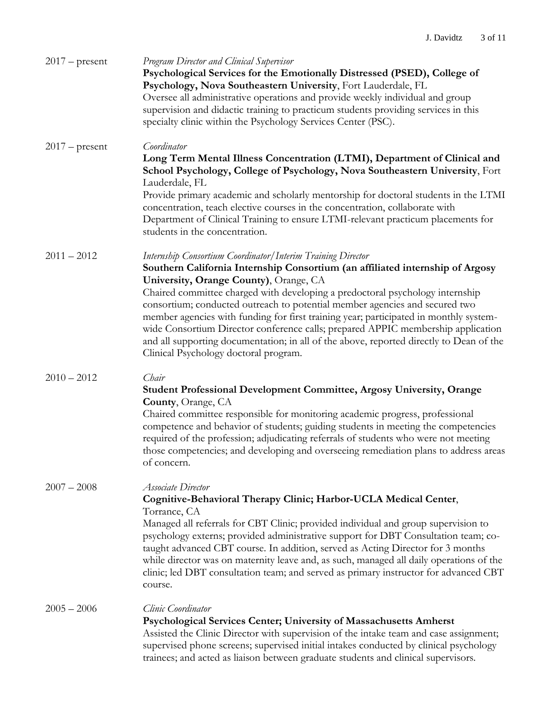| $2017$ – present | Program Director and Clinical Supervisor<br>Psychological Services for the Emotionally Distressed (PSED), College of<br>Psychology, Nova Southeastern University, Fort Lauderdale, FL<br>Oversee all administrative operations and provide weekly individual and group<br>supervision and didactic training to practicum students providing services in this<br>specialty clinic within the Psychology Services Center (PSC).                                                                                                                                                                                                                                           |
|------------------|-------------------------------------------------------------------------------------------------------------------------------------------------------------------------------------------------------------------------------------------------------------------------------------------------------------------------------------------------------------------------------------------------------------------------------------------------------------------------------------------------------------------------------------------------------------------------------------------------------------------------------------------------------------------------|
| $2017$ – present | Coordinator<br>Long Term Mental Illness Concentration (LTMI), Department of Clinical and<br>School Psychology, College of Psychology, Nova Southeastern University, Fort<br>Lauderdale, FL<br>Provide primary academic and scholarly mentorship for doctoral students in the LTMI<br>concentration, teach elective courses in the concentration, collaborate with<br>Department of Clinical Training to ensure LTMI-relevant practicum placements for<br>students in the concentration.                                                                                                                                                                                 |
| $2011 - 2012$    | Internship Consortium Coordinator/Interim Training Director<br>Southern California Internship Consortium (an affiliated internship of Argosy<br>University, Orange County), Orange, CA<br>Chaired committee charged with developing a predoctoral psychology internship<br>consortium; conducted outreach to potential member agencies and secured two<br>member agencies with funding for first training year; participated in monthly system-<br>wide Consortium Director conference calls; prepared APPIC membership application<br>and all supporting documentation; in all of the above, reported directly to Dean of the<br>Clinical Psychology doctoral program. |
| $2010 - 2012$    | Chair<br><b>Student Professional Development Committee, Argosy University, Orange</b><br>County, Orange, CA<br>Chaired committee responsible for monitoring academic progress, professional<br>competence and behavior of students; guiding students in meeting the competencies<br>required of the profession; adjudicating referrals of students who were not meeting<br>those competencies; and developing and overseeing remediation plans to address areas<br>of concern.                                                                                                                                                                                          |
| $2007 - 2008$    | <b>Associate Director</b><br>Cognitive-Behavioral Therapy Clinic; Harbor-UCLA Medical Center,<br>Torrance, CA<br>Managed all referrals for CBT Clinic; provided individual and group supervision to<br>psychology externs; provided administrative support for DBT Consultation team; co-<br>taught advanced CBT course. In addition, served as Acting Director for 3 months<br>while director was on maternity leave and, as such, managed all daily operations of the<br>clinic; led DBT consultation team; and served as primary instructor for advanced CBT<br>course.                                                                                              |
| $2005 - 2006$    | Clinic Coordinator<br>Psychological Services Center; University of Massachusetts Amherst<br>Assisted the Clinic Director with supervision of the intake team and case assignment;<br>supervised phone screens; supervised initial intakes conducted by clinical psychology<br>trainees; and acted as liaison between graduate students and clinical supervisors.                                                                                                                                                                                                                                                                                                        |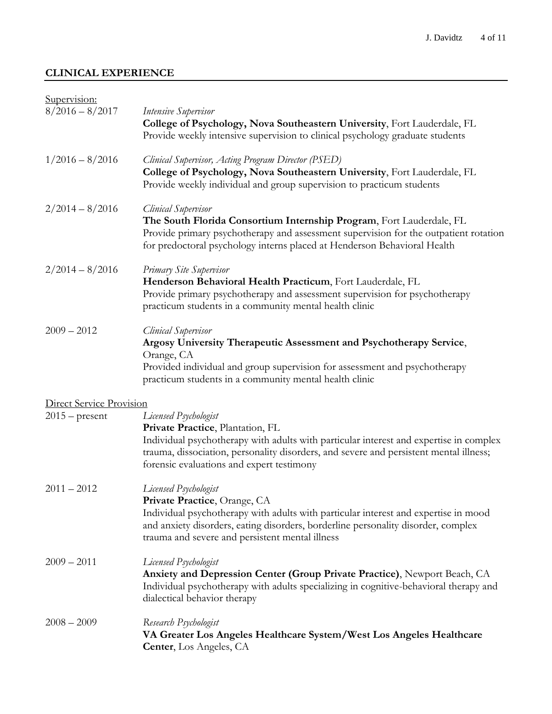# **CLINICAL EXPERIENCE**

| Supervision:                    |                                                                                                                                                                                                                                                                                            |
|---------------------------------|--------------------------------------------------------------------------------------------------------------------------------------------------------------------------------------------------------------------------------------------------------------------------------------------|
| $8/2016 - 8/2017$               | Intensive Supervisor<br>College of Psychology, Nova Southeastern University, Fort Lauderdale, FL<br>Provide weekly intensive supervision to clinical psychology graduate students                                                                                                          |
| $1/2016 - 8/2016$               | <b>Clinical Supervisor, Acting Program Director (PSED)</b><br>College of Psychology, Nova Southeastern University, Fort Lauderdale, FL<br>Provide weekly individual and group supervision to practicum students                                                                            |
| $2/2014 - 8/2016$               | <b>Clinical Supervisor</b><br>The South Florida Consortium Internship Program, Fort Lauderdale, FL<br>Provide primary psychotherapy and assessment supervision for the outpatient rotation<br>for predoctoral psychology interns placed at Henderson Behavioral Health                     |
| $2/2014 - 8/2016$               | Primary Site Supervisor<br>Henderson Behavioral Health Practicum, Fort Lauderdale, FL<br>Provide primary psychotherapy and assessment supervision for psychotherapy<br>practicum students in a community mental health clinic                                                              |
| $2009 - 2012$                   | <b>Clinical Supervisor</b><br>Argosy University Therapeutic Assessment and Psychotherapy Service,<br>Orange, CA<br>Provided individual and group supervision for assessment and psychotherapy<br>practicum students in a community mental health clinic                                    |
| <b>Direct Service Provision</b> |                                                                                                                                                                                                                                                                                            |
| $2015$ – present                | Licensed Psychologist<br>Private Practice, Plantation, FL<br>Individual psychotherapy with adults with particular interest and expertise in complex<br>trauma, dissociation, personality disorders, and severe and persistent mental illness;<br>forensic evaluations and expert testimony |
| $2011 - 2012$                   | Licensed Psychologist<br>Private Practice, Orange, CA<br>Individual psychotherapy with adults with particular interest and expertise in mood<br>and anxiety disorders, eating disorders, borderline personality disorder, complex<br>trauma and severe and persistent mental illness       |
| $2009 - 2011$                   | Licensed Psychologist<br>Anxiety and Depression Center (Group Private Practice), Newport Beach, CA<br>Individual psychotherapy with adults specializing in cognitive-behavioral therapy and<br>dialectical behavior therapy                                                                |
| $2008 - 2009$                   | Research Psychologist<br>VA Greater Los Angeles Healthcare System/West Los Angeles Healthcare<br><b>Center, Los Angeles, CA</b>                                                                                                                                                            |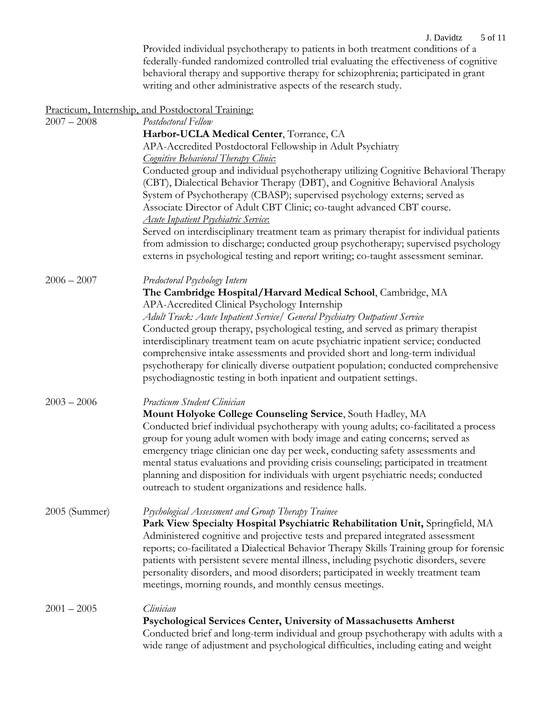Provided individual psychotherapy to patients in both treatment conditions of a federally-funded randomized controlled trial evaluating the effectiveness of cognitive behavioral therapy and supportive therapy for schizophrenia; participated in grant writing and other administrative aspects of the research study.

|               | Practicum, Internship, and Postdoctoral Training:                                         |
|---------------|-------------------------------------------------------------------------------------------|
| $2007 - 2008$ | Postdoctoral Fellow                                                                       |
|               | Harbor-UCLA Medical Center, Torrance, CA                                                  |
|               | APA-Accredited Postdoctoral Fellowship in Adult Psychiatry                                |
|               | <b>Cognitive Behavioral Therapy Clinic.</b>                                               |
|               | Conducted group and individual psychotherapy utilizing Cognitive Behavioral Therapy       |
|               | (CBT), Dialectical Behavior Therapy (DBT), and Cognitive Behavioral Analysis              |
|               | System of Psychotherapy (CBASP); supervised psychology externs; served as                 |
|               | Associate Director of Adult CBT Clinic; co-taught advanced CBT course.                    |
|               | <u>Acute Inpatient Psychiatric Service:</u>                                               |
|               | Served on interdisciplinary treatment team as primary therapist for individual patients   |
|               | from admission to discharge; conducted group psychotherapy; supervised psychology         |
|               | externs in psychological testing and report writing; co-taught assessment seminar.        |
| $2006 - 2007$ | Predoctoral Psychology Intern                                                             |
|               | The Cambridge Hospital/Harvard Medical School, Cambridge, MA                              |
|               | APA-Accredited Clinical Psychology Internship                                             |
|               | Adult Track: Acute Inpatient Service/ General Psychiatry Outpatient Service               |
|               | Conducted group therapy, psychological testing, and served as primary therapist           |
|               | interdisciplinary treatment team on acute psychiatric inpatient service; conducted        |
|               | comprehensive intake assessments and provided short and long-term individual              |
|               | psychotherapy for clinically diverse outpatient population; conducted comprehensive       |
|               | psychodiagnostic testing in both inpatient and outpatient settings.                       |
| $2003 - 2006$ | Practicum Student Clinician                                                               |
|               | Mount Holyoke College Counseling Service, South Hadley, MA                                |
|               | Conducted brief individual psychotherapy with young adults; co-facilitated a process      |
|               | group for young adult women with body image and eating concerns; served as                |
|               | emergency triage clinician one day per week, conducting safety assessments and            |
|               | mental status evaluations and providing crisis counseling; participated in treatment      |
|               | planning and disposition for individuals with urgent psychiatric needs; conducted         |
|               | outreach to student organizations and residence halls.                                    |
| 2005 (Summer) | Psychological Assessment and Group Therapy Trainee                                        |
|               | Park View Specialty Hospital Psychiatric Rehabilitation Unit, Springfield, MA             |
|               | Administered cognitive and projective tests and prepared integrated assessment            |
|               | reports; co-facilitated a Dialectical Behavior Therapy Skills Training group for forensic |
|               | patients with persistent severe mental illness, including psychotic disorders, severe     |
|               | personality disorders, and mood disorders; participated in weekly treatment team          |
|               | meetings, morning rounds, and monthly census meetings.                                    |
| $2001 - 2005$ | Clinician                                                                                 |
|               | Psychological Services Center, University of Massachusetts Amherst                        |
|               | Conducted brief and long-term individual and group psychotherapy with adults with a       |
|               | wide range of adjustment and psychological difficulties, including eating and weight      |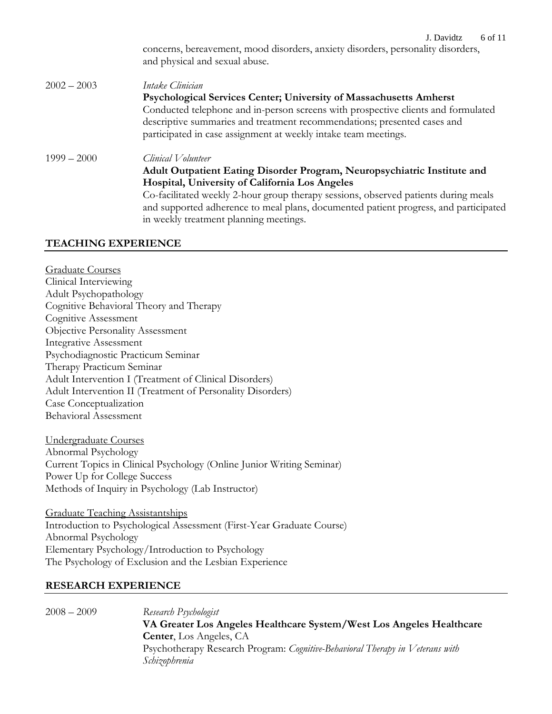#### J. Davidtz 6 of 11

concerns, bereavement, mood disorders, anxiety disorders, personality disorders, and physical and sexual abuse.

# 2002 – 2003 *Intake Clinician* **Psychological Services Center; University of Massachusetts Amherst** Conducted telephone and in-person screens with prospective clients and formulated descriptive summaries and treatment recommendations; presented cases and participated in case assignment at weekly intake team meetings. 1999 – 2000 *Clinical Volunteer* **Adult Outpatient Eating Disorder Program, Neuropsychiatric Institute and Hospital, University of California Los Angeles** Co-facilitated weekly 2-hour group therapy sessions, observed patients during meals and supported adherence to meal plans, documented patient progress, and participated

in weekly treatment planning meetings.

## **TEACHING EXPERIENCE**

Graduate Courses Clinical Interviewing Adult Psychopathology Cognitive Behavioral Theory and Therapy Cognitive Assessment Objective Personality Assessment Integrative Assessment Psychodiagnostic Practicum Seminar Therapy Practicum Seminar Adult Intervention I (Treatment of Clinical Disorders) Adult Intervention II (Treatment of Personality Disorders) Case Conceptualization Behavioral Assessment

Undergraduate Courses Abnormal Psychology Current Topics in Clinical Psychology (Online Junior Writing Seminar) Power Up for College Success Methods of Inquiry in Psychology (Lab Instructor)

Graduate Teaching Assistantships Introduction to Psychological Assessment (First-Year Graduate Course) Abnormal Psychology Elementary Psychology/Introduction to Psychology The Psychology of Exclusion and the Lesbian Experience

## **RESEARCH EXPERIENCE**

2008 – 2009 *Research Psychologist* **VA Greater Los Angeles Healthcare System/West Los Angeles Healthcare Center**, Los Angeles, CA Psychotherapy Research Program: *Cognitive-Behavioral Therapy in Veterans with Schizophrenia*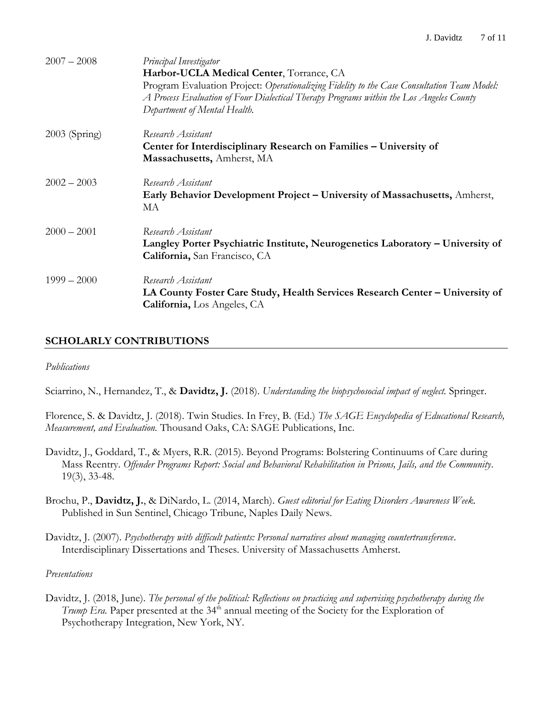| $2007 - 2008$   | Principal Investigator<br>Harbor-UCLA Medical Center, Torrance, CA<br>Program Evaluation Project: Operationalizing Fidelity to the Case Consultation Team Model:<br>A Process Evaluation of Four Dialectical Therapy Programs within the Los Angeles County<br>Department of Mental Health. |
|-----------------|---------------------------------------------------------------------------------------------------------------------------------------------------------------------------------------------------------------------------------------------------------------------------------------------|
| $2003$ (Spring) | Research Assistant<br>Center for Interdisciplinary Research on Families - University of<br>Massachusetts, Amherst, MA                                                                                                                                                                       |
| $2002 - 2003$   | Research Assistant<br>Early Behavior Development Project – University of Massachusetts, Amherst,<br>MA                                                                                                                                                                                      |
| $2000 - 2001$   | Research Assistant<br>Langley Porter Psychiatric Institute, Neurogenetics Laboratory – University of<br>California, San Francisco, CA                                                                                                                                                       |
| $1999 - 2000$   | Research Assistant<br>LA County Foster Care Study, Health Services Research Center - University of<br><b>California, Los Angeles, CA</b>                                                                                                                                                    |

# **SCHOLARLY CONTRIBUTIONS**

## *Publications*

Sciarrino, N., Hernandez, T., & **Davidtz, J.** (2018). *Understanding the biopsychosocial impact of neglect.* Springer.

Florence, S. & Davidtz, J. (2018). Twin Studies. In Frey, B. (Ed.) *The SAGE Encyclopedia of Educational Research, Measurement, and Evaluation.* Thousand Oaks, CA: SAGE Publications, Inc.

- Davidtz, J., Goddard, T., & Myers, R.R. (2015). Beyond Programs: Bolstering Continuums of Care during Mass Reentry. *Offender Programs Report: Social and Behavioral Rehabilitation in Prisons, Jails, and the Community*. 19(3), 33-48.
- Brochu, P., **Davidtz, J.**, & DiNardo, L. (2014, March). *Guest editorial for Eating Disorders Awareness Week.* Published in Sun Sentinel, Chicago Tribune, Naples Daily News.
- Davidtz, J. (2007). *Psychotherapy with difficult patients: Personal narratives about managing countertransference*. Interdisciplinary Dissertations and Theses. University of Massachusetts Amherst.

### *Presentations*

Davidtz, J. (2018, June). *The personal of the political: Reflections on practicing and supervising psychotherapy during the Trump Era.* Paper presented at the 34<sup>th</sup> annual meeting of the Society for the Exploration of Psychotherapy Integration, New York, NY.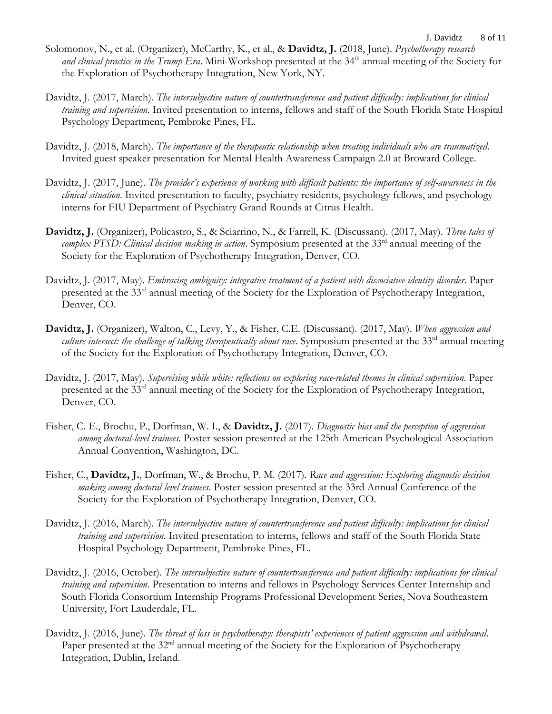- J. Davidtz 8 of 11 Solomonov, N., et al. (Organizer), McCarthy, K., et al., & **Davidtz, J.** (2018, June). *Psychotherapy research and clinical practice in the Trump Era*. Mini-Workshop presented at the 34<sup>th</sup> annual meeting of the Society for the Exploration of Psychotherapy Integration, New York, NY.
- Davidtz, J. (2017, March). *The intersubjective nature of countertransference and patient difficulty: implications for clinical training and supervision.* Invited presentation to interns, fellows and staff of the South Florida State Hospital Psychology Department, Pembroke Pines, FL.
- Davidtz, J. (2018, March). *The importance of the therapeutic relationship when treating individuals who are traumatized*. Invited guest speaker presentation for Mental Health Awareness Campaign 2.0 at Broward College.
- Davidtz, J. (2017, June). *The provider's experience of working with difficult patients: the importance of self-awareness in the clinical situation*. Invited presentation to faculty, psychiatry residents, psychology fellows, and psychology interns for FIU Department of Psychiatry Grand Rounds at Citrus Health.
- **Davidtz, J.** (Organizer), Policastro, S., & Sciarrino, N., & Farrell, K. (Discussant). (2017, May). *Three tales of*  complex PTSD: Clinical decision making in action. Symposium presented at the 33<sup>rd</sup> annual meeting of the Society for the Exploration of Psychotherapy Integration, Denver, CO.
- Davidtz, J. (2017, May). *Embracing ambiguity: integrative treatment of a patient with dissociative identity disorder*. Paper presented at the 33<sup>rd</sup> annual meeting of the Society for the Exploration of Psychotherapy Integration, Denver, CO.
- **Davidtz, J.** (Organizer), Walton, C., Levy, Y., & Fisher, C.E. (Discussant). (2017, May). *When aggression and*  culture intersect: the challenge of talking therapeutically about race. Symposium presented at the 33<sup>rd</sup> annual meeting of the Society for the Exploration of Psychotherapy Integration, Denver, CO.
- Davidtz, J. (2017, May). *Supervising while white: reflections on exploring race-related themes in clinical supervision*. Paper presented at the 33rd annual meeting of the Society for the Exploration of Psychotherapy Integration, Denver, CO.
- Fisher, C. E., Brochu, P., Dorfman, W. I., & **Davidtz, J.** (2017). *Diagnostic bias and the perception of aggression among doctoral-level trainees*. Poster session presented at the 125th American Psychological Association Annual Convention, Washington, DC.
- Fisher, C., **Davidtz, J.**, Dorfman, W., & Brochu, P. M. (2017). *Race and aggression: Exploring diagnostic decision making among doctoral level trainees*. Poster session presented at the 33rd Annual Conference of the Society for the Exploration of Psychotherapy Integration, Denver, CO.
- Davidtz, J. (2016, March). *The intersubjective nature of countertransference and patient difficulty: implications for clinical training and supervision.* Invited presentation to interns, fellows and staff of the South Florida State Hospital Psychology Department, Pembroke Pines, FL.
- Davidtz, J. (2016, October). *The intersubjective nature of countertransference and patient difficulty: implications for clinical training and supervision.* Presentation to interns and fellows in Psychology Services Center Internship and South Florida Consortium Internship Programs Professional Development Series, Nova Southeastern University, Fort Lauderdale, FL.
- Davidtz, J. (2016, June). *The threat of loss in psychotherapy: therapists' experiences of patient aggression and withdrawal*. Paper presented at the  $32<sup>nd</sup>$  annual meeting of the Society for the Exploration of Psychotherapy Integration, Dublin, Ireland.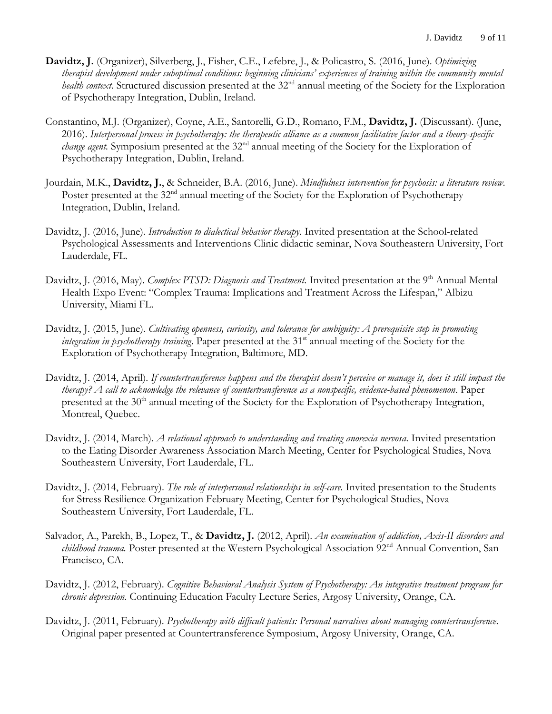- **Davidtz, J.** (Organizer), Silverberg, J., Fisher, C.E., Lefebre, J., & Policastro, S. (2016, June). *Optimizing therapist development under suboptimal conditions: beginning clinicians' experiences of training within the community mental health context*. Structured discussion presented at the 32<sup>nd</sup> annual meeting of the Society for the Exploration of Psychotherapy Integration, Dublin, Ireland.
- Constantino, M.J. (Organizer), Coyne, A.E., Santorelli, G.D., Romano, F.M., **Davidtz, J.** (Discussant). (June, 2016). *Interpersonal process in psychotherapy: the therapeutic alliance as a common facilitative factor and a theory-specific change agent.* Symposium presented at the 32<sup>nd</sup> annual meeting of the Society for the Exploration of Psychotherapy Integration, Dublin, Ireland.
- Jourdain, M.K., **Davidtz, J.**, & Schneider, B.A. (2016, June). *Mindfulness intervention for psychosis: a literature review.* Poster presented at the 32<sup>nd</sup> annual meeting of the Society for the Exploration of Psychotherapy Integration, Dublin, Ireland.
- Davidtz, J. (2016, June). *Introduction to dialectical behavior therapy.* Invited presentation at the School-related Psychological Assessments and Interventions Clinic didactic seminar, Nova Southeastern University, Fort Lauderdale, FL.
- Davidtz, J. (2016, May). *Complex PTSD: Diagnosis and Treatment*. Invited presentation at the 9<sup>th</sup> Annual Mental Health Expo Event: "Complex Trauma: Implications and Treatment Across the Lifespan," Albizu University, Miami FL.
- Davidtz, J. (2015, June). *Cultivating openness, curiosity, and tolerance for ambiguity: A prerequisite step in promoting integration in psychotherapy training*. Paper presented at the 31 st annual meeting of the Society for the Exploration of Psychotherapy Integration, Baltimore, MD.
- Davidtz, J. (2014, April). *If countertransference happens and the therapist doesn't perceive or manage it, does it still impact the therapy? A call to acknowledge the relevance of countertransference as a nonspecific, evidence-based phenomenon*. Paper presented at the 30<sup>th</sup> annual meeting of the Society for the Exploration of Psychotherapy Integration, Montreal, Quebec.
- Davidtz, J. (2014, March). *A relational approach to understanding and treating anorexia nervosa.* Invited presentation to the Eating Disorder Awareness Association March Meeting, Center for Psychological Studies, Nova Southeastern University, Fort Lauderdale, FL.
- Davidtz, J. (2014, February). *The role of interpersonal relationships in self-care.* Invited presentation to the Students for Stress Resilience Organization February Meeting, Center for Psychological Studies, Nova Southeastern University, Fort Lauderdale, FL.
- Salvador, A., Parekh, B., Lopez, T., & **Davidtz, J.** (2012, April). *An examination of addiction, Axis-II disorders and childhood trauma*. Poster presented at the Western Psychological Association 92<sup>nd</sup> Annual Convention, San Francisco, CA.
- Davidtz, J. (2012, February). *Cognitive Behavioral Analysis System of Psychotherapy: An integrative treatment program for chronic depression.* Continuing Education Faculty Lecture Series, Argosy University, Orange, CA.
- Davidtz, J. (2011, February). *Psychotherapy with difficult patients: Personal narratives about managing countertransference*. Original paper presented at Countertransference Symposium, Argosy University, Orange, CA.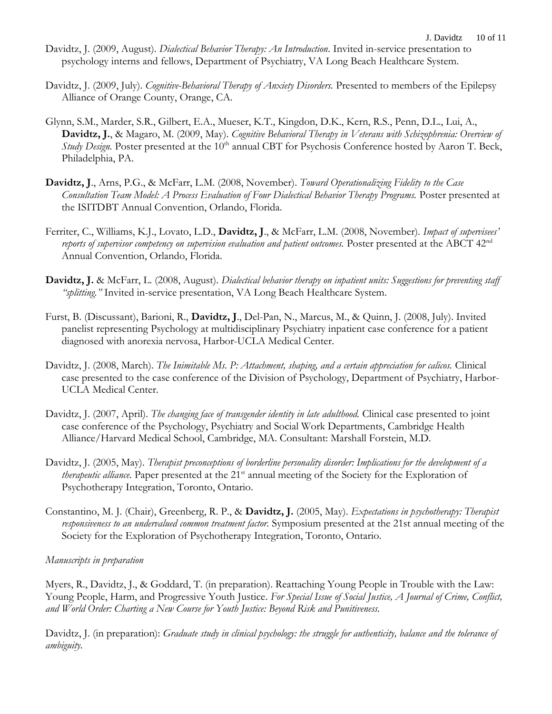- Davidtz, J. (2009, August). *Dialectical Behavior Therapy: An Introduction*. Invited in-service presentation to psychology interns and fellows, Department of Psychiatry, VA Long Beach Healthcare System.
- Davidtz, J. (2009, July). *Cognitive-Behavioral Therapy of Anxiety Disorders.* Presented to members of the Epilepsy Alliance of Orange County, Orange, CA.
- Glynn, S.M., Marder, S.R., Gilbert, E.A., Mueser, K.T., Kingdon, D.K., Kern, R.S., Penn, D.L., Lui, A., **Davidtz, J.**, & Magaro, M. (2009, May). *Cognitive Behavioral Therapy in Veterans with Schizophrenia: Overview of Study Design.* Poster presented at the 10<sup>th</sup> annual CBT for Psychosis Conference hosted by Aaron T. Beck, Philadelphia, PA.
- **Davidtz, J**., Arns, P.G., & McFarr, L.M. (2008, November). *Toward Operationalizing Fidelity to the Case Consultation Team Model: A Process Evaluation of Four Dialectical Behavior Therapy Programs.* Poster presented at the ISITDBT Annual Convention, Orlando, Florida.
- Ferriter, C., Williams, K.J., Lovato, L.D., **Davidtz, J**., & McFarr, L.M. (2008, November). *Impact of supervisees' reports of supervisor competency on supervision evaluation and patient outcomes.* Poster presented at the ABCT 42<sup>nd</sup> Annual Convention, Orlando, Florida.
- **Davidtz, J.** & McFarr, L. (2008, August). *Dialectical behavior therapy on inpatient units: Suggestions for preventing staff "splitting."* Invited in-service presentation, VA Long Beach Healthcare System.
- Furst, B. (Discussant), Barioni, R., **Davidtz, J**., Del-Pan, N., Marcus, M., & Quinn, J. (2008, July). Invited panelist representing Psychology at multidisciplinary Psychiatry inpatient case conference for a patient diagnosed with anorexia nervosa, Harbor-UCLA Medical Center.
- Davidtz, J. (2008, March). *The Inimitable Ms. P: Attachment, shaping, and a certain appreciation for calicos.* Clinical case presented to the case conference of the Division of Psychology, Department of Psychiatry, Harbor-UCLA Medical Center.
- Davidtz, J. (2007, April). *The changing face of transgender identity in late adulthood.* Clinical case presented to joint case conference of the Psychology, Psychiatry and Social Work Departments, Cambridge Health Alliance/Harvard Medical School, Cambridge, MA. Consultant: Marshall Forstein, M.D.
- Davidtz, J. (2005, May). *Therapist preconceptions of borderline personality disorder: Implications for the development of a therapeutic alliance*. Paper presented at the 21<sup>st</sup> annual meeting of the Society for the Exploration of Psychotherapy Integration, Toronto, Ontario.
- Constantino, M. J. (Chair), Greenberg, R. P., & **Davidtz, J.** (2005, May). *Expectations in psychotherapy: Therapist responsiveness to an undervalued common treatment factor.* Symposium presented at the 21st annual meeting of the Society for the Exploration of Psychotherapy Integration, Toronto, Ontario.

## *Manuscripts in preparation*

Myers, R., Davidtz, J., & Goddard, T. (in preparation). Reattaching Young People in Trouble with the Law: Young People, Harm, and Progressive Youth Justice. *For Special Issue of Social Justice, A Journal of Crime, Conflict, and World Order: Charting a New Course for Youth Justice: Beyond Risk and Punitiveness.*

Davidtz, J. (in preparation): *Graduate study in clinical psychology: the struggle for authenticity, balance and the tolerance of ambiguity.*